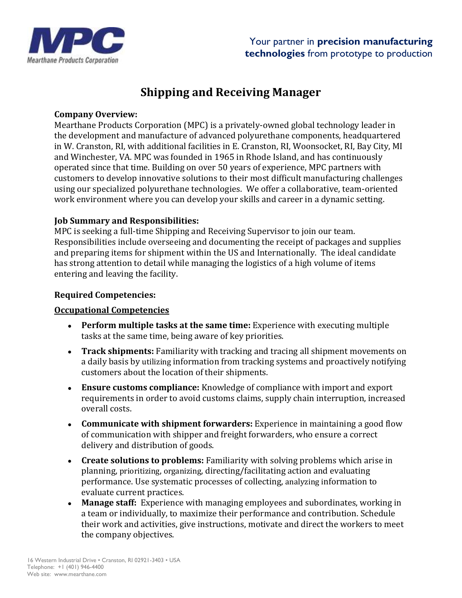

# **Shipping and Receiving Manager**

### **Company Overview:**

Mearthane Products Corporation (MPC) is a privately-owned global technology leader in the development and manufacture of advanced polyurethane components, headquartered in W. Cranston, RI, with additional facilities in E. Cranston, RI, Woonsocket, RI, Bay City, MI and Winchester, VA. MPC was founded in 1965 in Rhode Island, and has continuously operated since that time. Building on over 50 years of experience, MPC partners with customers to develop innovative solutions to their most difficult manufacturing challenges using our specialized polyurethane technologies. We offer a collaborative, team-oriented work environment where you can develop your skills and career in a dynamic setting.

### **Job Summary and Responsibilities:**

MPC is seeking a full-time Shipping and Receiving Supervisor to join our team. Responsibilities include overseeing and documenting the receipt of packages and supplies and preparing items for shipment within the US and Internationally. The ideal candidate has strong attention to detail while managing the logistics of a high volume of items entering and leaving the facility.

### **Required Competencies:**

### **Occupational Competencies**

- **Perform multiple tasks at the same time:** Experience with executing multiple tasks at the same time, being aware of key priorities.
- **Track shipments:** Familiarity with tracking and tracing all shipment movements on a daily basis by utilizing information from tracking systems and proactively notifying customers about the location of their shipments.
- **Ensure customs compliance:** Knowledge of compliance with import and export requirements in order to avoid customs claims, supply chain interruption, increased overall costs.
- **Communicate with shipment forwarders:** Experience in maintaining a good flow of communication with shipper and freight forwarders, who ensure a correct delivery and distribution of goods.
- **Create solutions to problems:** Familiarity with solving problems which arise in planning, prioritizing, organizing, directing/facilitating action and evaluating performance. Use systematic processes of collecting, analyzing information to evaluate current practices.
- **Manage staff:** Experience with managing employees and subordinates, working in a team or individually, to maximize their performance and contribution. Schedule their work and activities, give instructions, motivate and direct the workers to meet the company objectives.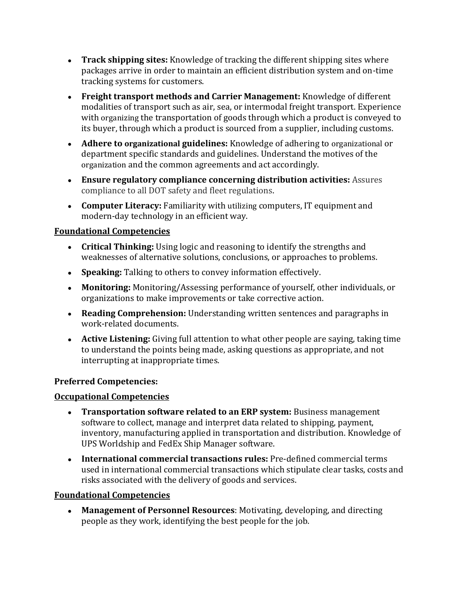- **Track shipping sites:** Knowledge of tracking the different shipping sites where packages arrive in order to maintain an efficient distribution system and on-time tracking systems for customers.
- **Freight transport methods and Carrier Management:** Knowledge of different modalities of transport such as air, sea, or intermodal freight transport. Experience with organizing the transportation of goods through which a product is conveyed to its buyer, through which a product is sourced from a supplier, including customs.
- **Adhere to organizational guidelines:** Knowledge of adhering to organizational or department specific standards and guidelines. Understand the motives of the organization and the common agreements and act accordingly.
- **Ensure regulatory compliance concerning distribution activities:** Assures compliance to all DOT safety and fleet regulations.
- **Computer Literacy:** Familiarity with utilizing computers, IT equipment and modern-day technology in an efficient way.

# **Foundational Competencies**

- **Critical Thinking:** Using logic and reasoning to identify the strengths and weaknesses of alternative solutions, conclusions, or approaches to problems.
- **Speaking:** Talking to others to convey information effectively.
- **Monitoring:** Monitoring/Assessing performance of yourself, other individuals, or organizations to make improvements or take corrective action.
- **Reading Comprehension:** Understanding written sentences and paragraphs in work-related documents.
- **Active Listening:** Giving full attention to what other people are saying, taking time to understand the points being made, asking questions as appropriate, and not interrupting at inappropriate times.

# **Preferred Competencies:**

# **Occupational Competencies**

- **Transportation software related to an ERP system:** Business management software to collect, manage and interpret data related to shipping, payment, inventory, manufacturing applied in transportation and distribution. Knowledge of UPS Worldship and FedEx Ship Manager software.
- **International commercial transactions rules:** Pre-defined commercial terms used in international commercial transactions which stipulate clear tasks, costs and risks associated with the delivery of goods and services.

# **Foundational Competencies**

• **Management of Personnel Resources**: Motivating, developing, and directing people as they work, identifying the best people for the job.